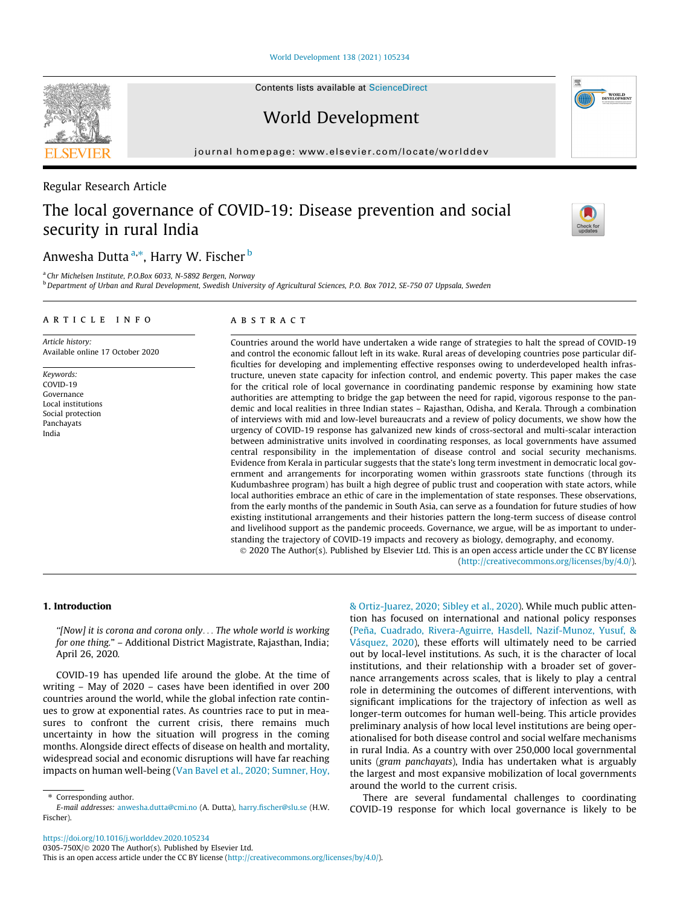[World Development 138 \(2021\) 105234](https://doi.org/10.1016/j.worlddev.2020.105234)

Contents lists available at [ScienceDirect](http://www.sciencedirect.com/science/journal/0305750X)

World Development

journal homepage: [www.elsevier.com/locate/worlddev](http://www.elsevier.com/locate/worlddev)

## Regular Research Article

# The local governance of COVID-19: Disease prevention and social security in rural India

## Anwesha Dutta <sup>a,</sup>\*, Harry W. Fischer <sup>b</sup>

<sup>a</sup> Chr Michelsen Institute, P.O.Box 6033, N-5892 Bergen, Norway

<sup>b</sup> Department of Urban and Rural Development, Swedish University of Agricultural Sciences, P.O. Box 7012, SE-750 07 Uppsala, Sweden

### article info

Article history: Available online 17 October 2020

Keywords: COVID-19 Governance Local institutions Social protection Panchayats India

## **ABSTRACT**

Countries around the world have undertaken a wide range of strategies to halt the spread of COVID-19 and control the economic fallout left in its wake. Rural areas of developing countries pose particular difficulties for developing and implementing effective responses owing to underdeveloped health infrastructure, uneven state capacity for infection control, and endemic poverty. This paper makes the case for the critical role of local governance in coordinating pandemic response by examining how state authorities are attempting to bridge the gap between the need for rapid, vigorous response to the pandemic and local realities in three Indian states – Rajasthan, Odisha, and Kerala. Through a combination of interviews with mid and low-level bureaucrats and a review of policy documents, we show how the urgency of COVID-19 response has galvanized new kinds of cross-sectoral and multi-scalar interaction between administrative units involved in coordinating responses, as local governments have assumed central responsibility in the implementation of disease control and social security mechanisms. Evidence from Kerala in particular suggests that the state's long term investment in democratic local government and arrangements for incorporating women within grassroots state functions (through its Kudumbashree program) has built a high degree of public trust and cooperation with state actors, while local authorities embrace an ethic of care in the implementation of state responses. These observations, from the early months of the pandemic in South Asia, can serve as a foundation for future studies of how existing institutional arrangements and their histories pattern the long-term success of disease control and livelihood support as the pandemic proceeds. Governance, we argue, will be as important to understanding the trajectory of COVID-19 impacts and recovery as biology, demography, and economy. 2020 The Author(s). Published by Elsevier Ltd. This is an open access article under the CC BY license

[\(http://creativecommons.org/licenses/by/4.0/](http://creativecommons.org/licenses/by/4.0/)).

### 1. Introduction

"[Now] it is corona and corona only... The whole world is working for one thing." – Additional District Magistrate, Rajasthan, India; April 26, 2020.

COVID-19 has upended life around the globe. At the time of writing – May of 2020 – cases have been identified in over 200 countries around the world, while the global infection rate continues to grow at exponential rates. As countries race to put in measures to confront the current crisis, there remains much uncertainty in how the situation will progress in the coming months. Alongside direct effects of disease on health and mortality, widespread social and economic disruptions will have far reaching impacts on human well-being [\(Van Bavel et al., 2020; Sumner, Hoy,](#page-10-0)

⇑ Corresponding author.

[& Ortiz-Juarez, 2020; Sibley et al., 2020\)](#page-10-0). While much public attention has focused on international and national policy responses ([Peña, Cuadrado, Rivera-Aguirre, Hasdell, Nazif-Munoz, Yusuf, &](#page-10-0) [Vásquez, 2020\)](#page-10-0), these efforts will ultimately need to be carried out by local-level institutions. As such, it is the character of local institutions, and their relationship with a broader set of governance arrangements across scales, that is likely to play a central role in determining the outcomes of different interventions, with significant implications for the trajectory of infection as well as longer-term outcomes for human well-being. This article provides preliminary analysis of how local level institutions are being operationalised for both disease control and social welfare mechanisms in rural India. As a country with over 250,000 local governmental units (gram panchayats), India has undertaken what is arguably the largest and most expansive mobilization of local governments around the world to the current crisis.

There are several fundamental challenges to coordinating COVID-19 response for which local governance is likely to be







E-mail addresses: [anwesha.dutta@cmi.no](mailto:anwesha.dutta@cmi.no) (A. Dutta), [harry.fischer@slu.se](mailto:harry.fischer@slu.se) (H.W. Fischer).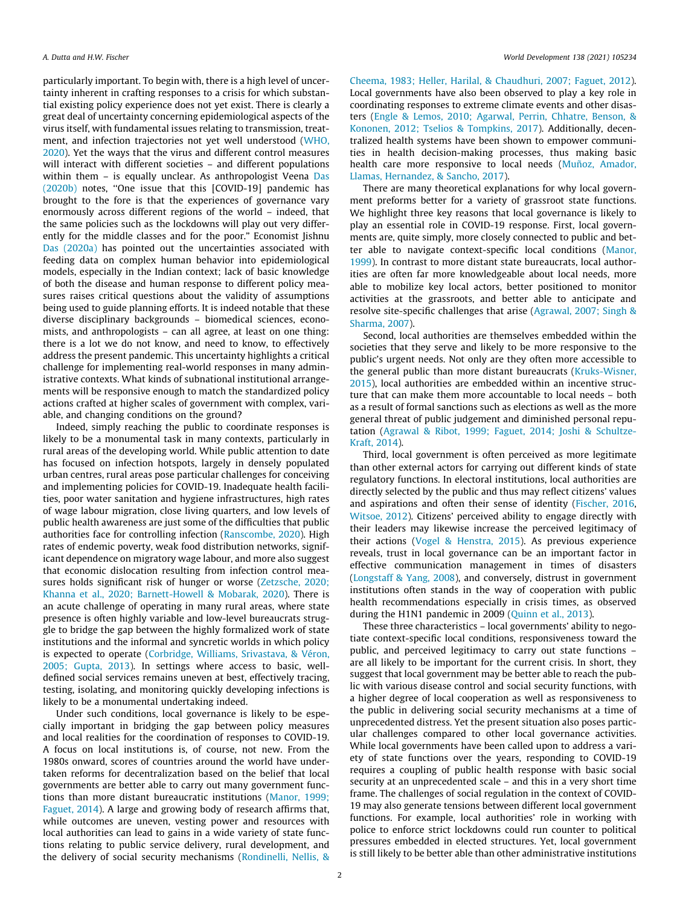particularly important. To begin with, there is a high level of uncertainty inherent in crafting responses to a crisis for which substantial existing policy experience does not yet exist. There is clearly a great deal of uncertainty concerning epidemiological aspects of the virus itself, with fundamental issues relating to transmission, treatment, and infection trajectories not yet well understood [\(WHO,](#page-10-0) [2020](#page-10-0)). Yet the ways that the virus and different control measures will interact with different societies – and different populations within them - is equally unclear. As anthropologist Veena [Das](#page-9-0) [\(2020b\)](#page-9-0) notes, ''One issue that this [COVID-19] pandemic has brought to the fore is that the experiences of governance vary enormously across different regions of the world – indeed, that the same policies such as the lockdowns will play out very differently for the middle classes and for the poor." Economist Jishnu [Das \(2020a\)](#page-9-0) has pointed out the uncertainties associated with feeding data on complex human behavior into epidemiological models, especially in the Indian context; lack of basic knowledge of both the disease and human response to different policy measures raises critical questions about the validity of assumptions being used to guide planning efforts. It is indeed notable that these diverse disciplinary backgrounds – biomedical sciences, economists, and anthropologists – can all agree, at least on one thing: there is a lot we do not know, and need to know, to effectively address the present pandemic. This uncertainty highlights a critical challenge for implementing real-world responses in many administrative contexts. What kinds of subnational institutional arrangements will be responsive enough to match the standardized policy actions crafted at higher scales of government with complex, variable, and changing conditions on the ground?

Indeed, simply reaching the public to coordinate responses is likely to be a monumental task in many contexts, particularly in rural areas of the developing world. While public attention to date has focused on infection hotspots, largely in densely populated urban centres, rural areas pose particular challenges for conceiving and implementing policies for COVID-19. Inadequate health facilities, poor water sanitation and hygiene infrastructures, high rates of wage labour migration, close living quarters, and low levels of public health awareness are just some of the difficulties that public authorities face for controlling infection [\(Ranscombe, 2020\)](#page-10-0). High rates of endemic poverty, weak food distribution networks, significant dependence on migratory wage labour, and more also suggest that economic dislocation resulting from infection control measures holds significant risk of hunger or worse ([Zetzsche, 2020;](#page-10-0) [Khanna et al., 2020; Barnett-Howell & Mobarak, 2020\)](#page-10-0). There is an acute challenge of operating in many rural areas, where state presence is often highly variable and low-level bureaucrats struggle to bridge the gap between the highly formalized work of state institutions and the informal and syncretic worlds in which policy is expected to operate [\(Corbridge, Williams, Srivastava, & Véron,](#page-9-0) [2005; Gupta, 2013\)](#page-9-0). In settings where access to basic, welldefined social services remains uneven at best, effectively tracing, testing, isolating, and monitoring quickly developing infections is likely to be a monumental undertaking indeed.

Under such conditions, local governance is likely to be especially important in bridging the gap between policy measures and local realities for the coordination of responses to COVID-19. A focus on local institutions is, of course, not new. From the 1980s onward, scores of countries around the world have undertaken reforms for decentralization based on the belief that local governments are better able to carry out many government functions than more distant bureaucratic institutions [\(Manor, 1999;](#page-10-0) [Faguet, 2014](#page-10-0)). A large and growing body of research affirms that, while outcomes are uneven, vesting power and resources with local authorities can lead to gains in a wide variety of state functions relating to public service delivery, rural development, and the delivery of social security mechanisms ([Rondinelli, Nellis, &](#page-10-0)

[Cheema, 1983; Heller, Harilal, & Chaudhuri, 2007; Faguet, 2012\)](#page-10-0). Local governments have also been observed to play a key role in coordinating responses to extreme climate events and other disasters ([Engle & Lemos, 2010; Agarwal, Perrin, Chhatre, Benson, &](#page-9-0) [Kononen, 2012; Tselios & Tompkins, 2017\)](#page-9-0). Additionally, decentralized health systems have been shown to empower communities in health decision-making processes, thus making basic health care more responsive to local needs ([Muñoz, Amador,](#page-10-0) [Llamas, Hernandez, & Sancho, 2017\)](#page-10-0).

There are many theoretical explanations for why local government preforms better for a variety of grassroot state functions. We highlight three key reasons that local governance is likely to play an essential role in COVID-19 response. First, local governments are, quite simply, more closely connected to public and better able to navigate context-specific local conditions ([Manor,](#page-10-0) [1999\)](#page-10-0). In contrast to more distant state bureaucrats, local authorities are often far more knowledgeable about local needs, more able to mobilize key local actors, better positioned to monitor activities at the grassroots, and better able to anticipate and resolve site-specific challenges that arise ([Agrawal, 2007; Singh &](#page-9-0) [Sharma, 2007\)](#page-9-0).

Second, local authorities are themselves embedded within the societies that they serve and likely to be more responsive to the public's urgent needs. Not only are they often more accessible to the general public than more distant bureaucrats ([Kruks-Wisner,](#page-10-0) [2015\)](#page-10-0), local authorities are embedded within an incentive structure that can make them more accountable to local needs – both as a result of formal sanctions such as elections as well as the more general threat of public judgement and diminished personal reputation [\(Agrawal & Ribot, 1999; Faguet, 2014; Joshi & Schultze-](#page-9-0)[Kraft, 2014\)](#page-9-0).

Third, local government is often perceived as more legitimate than other external actors for carrying out different kinds of state regulatory functions. In electoral institutions, local authorities are directly selected by the public and thus may reflect citizens' values and aspirations and often their sense of identity [\(Fischer, 2016,](#page-9-0) [Witsoe, 2012](#page-10-0)). Citizens' perceived ability to engage directly with their leaders may likewise increase the perceived legitimacy of their actions [\(Vogel & Henstra, 2015\)](#page-10-0). As previous experience reveals, trust in local governance can be an important factor in effective communication management in times of disasters ([Longstaff & Yang, 2008\)](#page-10-0), and conversely, distrust in government institutions often stands in the way of cooperation with public health recommendations especially in crisis times, as observed during the H1N1 pandemic in 2009 ([Quinn et al., 2013\)](#page-10-0).

These three characteristics – local governments' ability to negotiate context-specific local conditions, responsiveness toward the public, and perceived legitimacy to carry out state functions – are all likely to be important for the current crisis. In short, they suggest that local government may be better able to reach the public with various disease control and social security functions, with a higher degree of local cooperation as well as responsiveness to the public in delivering social security mechanisms at a time of unprecedented distress. Yet the present situation also poses particular challenges compared to other local governance activities. While local governments have been called upon to address a variety of state functions over the years, responding to COVID-19 requires a coupling of public health response with basic social security at an unprecedented scale – and this in a very short time frame. The challenges of social regulation in the context of COVID-19 may also generate tensions between different local government functions. For example, local authorities' role in working with police to enforce strict lockdowns could run counter to political pressures embedded in elected structures. Yet, local government is still likely to be better able than other administrative institutions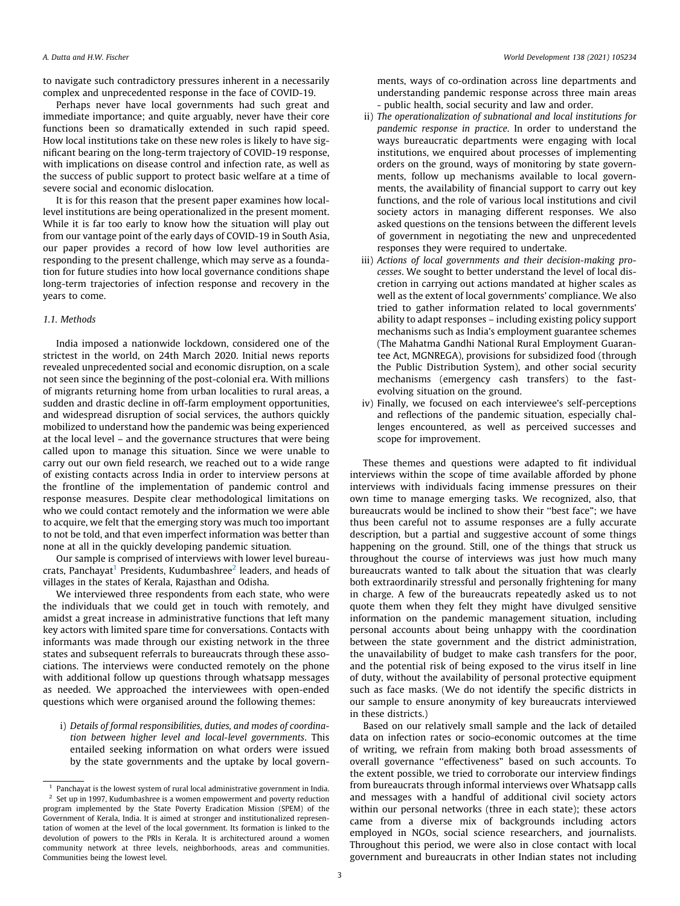to navigate such contradictory pressures inherent in a necessarily complex and unprecedented response in the face of COVID-19.

Perhaps never have local governments had such great and immediate importance; and quite arguably, never have their core functions been so dramatically extended in such rapid speed. How local institutions take on these new roles is likely to have significant bearing on the long-term trajectory of COVID-19 response, with implications on disease control and infection rate, as well as the success of public support to protect basic welfare at a time of severe social and economic dislocation.

It is for this reason that the present paper examines how locallevel institutions are being operationalized in the present moment. While it is far too early to know how the situation will play out from our vantage point of the early days of COVID-19 in South Asia, our paper provides a record of how low level authorities are responding to the present challenge, which may serve as a foundation for future studies into how local governance conditions shape long-term trajectories of infection response and recovery in the years to come.

### 1.1. Methods

India imposed a nationwide lockdown, considered one of the strictest in the world, on 24th March 2020. Initial news reports revealed unprecedented social and economic disruption, on a scale not seen since the beginning of the post-colonial era. With millions of migrants returning home from urban localities to rural areas, a sudden and drastic decline in off-farm employment opportunities, and widespread disruption of social services, the authors quickly mobilized to understand how the pandemic was being experienced at the local level – and the governance structures that were being called upon to manage this situation. Since we were unable to carry out our own field research, we reached out to a wide range of existing contacts across India in order to interview persons at the frontline of the implementation of pandemic control and response measures. Despite clear methodological limitations on who we could contact remotely and the information we were able to acquire, we felt that the emerging story was much too important to not be told, and that even imperfect information was better than none at all in the quickly developing pandemic situation.

Our sample is comprised of interviews with lower level bureaucrats, Panchayat<sup>1</sup> Presidents, Kudumbashree<sup>2</sup> leaders, and heads of villages in the states of Kerala, Rajasthan and Odisha.

We interviewed three respondents from each state, who were the individuals that we could get in touch with remotely, and amidst a great increase in administrative functions that left many key actors with limited spare time for conversations. Contacts with informants was made through our existing network in the three states and subsequent referrals to bureaucrats through these associations. The interviews were conducted remotely on the phone with additional follow up questions through whatsapp messages as needed. We approached the interviewees with open-ended questions which were organised around the following themes:

i) Details of formal responsibilities, duties, and modes of coordination between higher level and local-level governments. This entailed seeking information on what orders were issued by the state governments and the uptake by local govern-

ments, ways of co-ordination across line departments and understanding pandemic response across three main areas - public health, social security and law and order.

- ii) The operationalization of subnational and local institutions for pandemic response in practice. In order to understand the ways bureaucratic departments were engaging with local institutions, we enquired about processes of implementing orders on the ground, ways of monitoring by state governments, follow up mechanisms available to local governments, the availability of financial support to carry out key functions, and the role of various local institutions and civil society actors in managing different responses. We also asked questions on the tensions between the different levels of government in negotiating the new and unprecedented responses they were required to undertake.
- iii) Actions of local governments and their decision-making processes. We sought to better understand the level of local discretion in carrying out actions mandated at higher scales as well as the extent of local governments' compliance. We also tried to gather information related to local governments' ability to adapt responses – including existing policy support mechanisms such as India's employment guarantee schemes (The Mahatma Gandhi National Rural Employment Guarantee Act, MGNREGA), provisions for subsidized food (through the Public Distribution System), and other social security mechanisms (emergency cash transfers) to the fastevolving situation on the ground.
- iv) Finally, we focused on each interviewee's self-perceptions and reflections of the pandemic situation, especially challenges encountered, as well as perceived successes and scope for improvement.

These themes and questions were adapted to fit individual interviews within the scope of time available afforded by phone interviews with individuals facing immense pressures on their own time to manage emerging tasks. We recognized, also, that bureaucrats would be inclined to show their ''best face"; we have thus been careful not to assume responses are a fully accurate description, but a partial and suggestive account of some things happening on the ground. Still, one of the things that struck us throughout the course of interviews was just how much many bureaucrats wanted to talk about the situation that was clearly both extraordinarily stressful and personally frightening for many in charge. A few of the bureaucrats repeatedly asked us to not quote them when they felt they might have divulged sensitive information on the pandemic management situation, including personal accounts about being unhappy with the coordination between the state government and the district administration, the unavailability of budget to make cash transfers for the poor, and the potential risk of being exposed to the virus itself in line of duty, without the availability of personal protective equipment such as face masks. (We do not identify the specific districts in our sample to ensure anonymity of key bureaucrats interviewed in these districts.)

Based on our relatively small sample and the lack of detailed data on infection rates or socio-economic outcomes at the time of writing, we refrain from making both broad assessments of overall governance ''effectiveness" based on such accounts. To the extent possible, we tried to corroborate our interview findings from bureaucrats through informal interviews over Whatsapp calls and messages with a handful of additional civil society actors within our personal networks (three in each state); these actors came from a diverse mix of backgrounds including actors employed in NGOs, social science researchers, and journalists. Throughout this period, we were also in close contact with local government and bureaucrats in other Indian states not including

 $1$  Panchayat is the lowest system of rural local administrative government in India.  $2$  Set up in 1997, Kudumbashree is a women empowerment and poverty reduction program implemented by the State Poverty Eradication Mission (SPEM) of the Government of Kerala, India. It is aimed at stronger and institutionalized representation of women at the level of the local government. Its formation is linked to the devolution of powers to the PRIs in Kerala. It is architectured around a women community network at three levels, neighborhoods, areas and communities. Communities being the lowest level.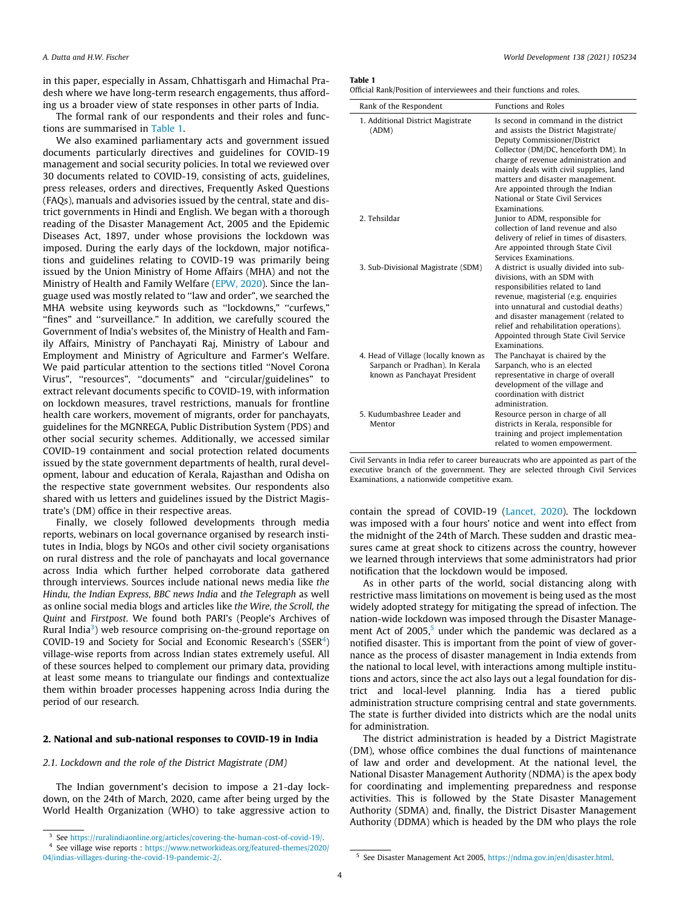in this paper, especially in Assam, Chhattisgarh and Himachal Pradesh where we have long-term research engagements, thus affording us a broader view of state responses in other parts of India.

The formal rank of our respondents and their roles and functions are summarised in Table 1.

We also examined parliamentary acts and government issued documents particularly directives and guidelines for COVID-19 management and social security policies. In total we reviewed over 30 documents related to COVID-19, consisting of acts, guidelines, press releases, orders and directives, Frequently Asked Questions (FAQs), manuals and advisories issued by the central, state and district governments in Hindi and English. We began with a thorough reading of the Disaster Management Act, 2005 and the Epidemic Diseases Act, 1897, under whose provisions the lockdown was imposed. During the early days of the lockdown, major notifications and guidelines relating to COVID-19 was primarily being issued by the Union Ministry of Home Affairs (MHA) and not the Ministry of Health and Family Welfare ([EPW, 2020](#page-9-0)). Since the language used was mostly related to ''law and order", we searched the MHA website using keywords such as ''lockdowns," ''curfews," "fines" and "surveillance." In addition, we carefully scoured the Government of India's websites of, the Ministry of Health and Family Affairs, Ministry of Panchayati Raj, Ministry of Labour and Employment and Ministry of Agriculture and Farmer's Welfare. We paid particular attention to the sections titled ''Novel Corona Virus", ''resources", ''documents" and ''circular/guidelines" to extract relevant documents specific to COVID-19, with information on lockdown measures, travel restrictions, manuals for frontline health care workers, movement of migrants, order for panchayats, guidelines for the MGNREGA, Public Distribution System (PDS) and other social security schemes. Additionally, we accessed similar COVID-19 containment and social protection related documents issued by the state government departments of health, rural development, labour and education of Kerala, Rajasthan and Odisha on the respective state government websites. Our respondents also shared with us letters and guidelines issued by the District Magistrate's (DM) office in their respective areas.

Finally, we closely followed developments through media reports, webinars on local governance organised by research institutes in India, blogs by NGOs and other civil society organisations on rural distress and the role of panchayats and local governance across India which further helped corroborate data gathered through interviews. Sources include national news media like the Hindu, the Indian Express, BBC news India and the Telegraph as well as online social media blogs and articles like the Wire, the Scroll, the Quint and Firstpost. We found both PARI's (People's Archives of Rural India<sup>3</sup>) web resource comprising on-the-ground reportage on COVID-19 and Society for Social and Economic Research's (SSER $4$ ) village-wise reports from across Indian states extremely useful. All of these sources helped to complement our primary data, providing at least some means to triangulate our findings and contextualize them within broader processes happening across India during the period of our research.

### 2. National and sub-national responses to COVID-19 in India

### 2.1. Lockdown and the role of the District Magistrate (DM)

The Indian government's decision to impose a 21-day lockdown, on the 24th of March, 2020, came after being urged by the World Health Organization (WHO) to take aggressive action to

### Table 1

| Official Rank/Position of interviewees and their functions and roles. |  |  |
|-----------------------------------------------------------------------|--|--|
|-----------------------------------------------------------------------|--|--|

| Rank of the Respondent                                                                                  | <b>Functions and Roles</b>                                                                                                                                                                                                                                                                                                                                          |
|---------------------------------------------------------------------------------------------------------|---------------------------------------------------------------------------------------------------------------------------------------------------------------------------------------------------------------------------------------------------------------------------------------------------------------------------------------------------------------------|
| 1. Additional District Magistrate<br>(ADM)                                                              | Is second in command in the district<br>and assists the District Magistrate/<br>Deputy Commissioner/District<br>Collector (DM/DC, henceforth DM). In<br>charge of revenue administration and<br>mainly deals with civil supplies, land<br>matters and disaster management.<br>Are appointed through the Indian<br>National or State Civil Services<br>Examinations. |
| 2. Tehsildar                                                                                            | Junior to ADM, responsible for<br>collection of land revenue and also<br>delivery of relief in times of disasters.<br>Are appointed through State Civil<br>Services Examinations                                                                                                                                                                                    |
| 3. Sub-Divisional Magistrate (SDM)                                                                      | A district is usually divided into sub-<br>divisions, with an SDM with<br>responsibilities related to land<br>revenue, magisterial (e.g. enquiries<br>into unnatural and custodial deaths)<br>and disaster management (related to<br>relief and rehabilitation operations).<br>Appointed through State Civil Service<br>Examinations.                               |
| 4. Head of Village (locally known as<br>Sarpanch or Pradhan). In Kerala<br>known as Panchayat President | The Panchayat is chaired by the<br>Sarpanch, who is an elected<br>representative in charge of overall<br>development of the village and<br>coordination with district<br>administration                                                                                                                                                                             |
| 5. Kudumbashree Leader and<br>Mentor                                                                    | Resource person in charge of all<br>districts in Kerala, responsible for<br>training and project implementation<br>related to women empowerment.                                                                                                                                                                                                                    |

Civil Servants in India refer to career bureaucrats who are appointed as part of the executive branch of the government. They are selected through Civil Services Examinations, a nationwide competitive exam.

contain the spread of COVID-19 [\(Lancet, 2020\)](#page-10-0). The lockdown was imposed with a four hours' notice and went into effect from the midnight of the 24th of March. These sudden and drastic measures came at great shock to citizens across the country, however we learned through interviews that some administrators had prior notification that the lockdown would be imposed.

As in other parts of the world, social distancing along with restrictive mass limitations on movement is being used as the most widely adopted strategy for mitigating the spread of infection. The nation-wide lockdown was imposed through the Disaster Management Act of  $2005$ <sup>5</sup> under which the pandemic was declared as a notified disaster. This is important from the point of view of governance as the process of disaster management in India extends from the national to local level, with interactions among multiple institutions and actors, since the act also lays out a legal foundation for district and local-level planning. India has a tiered public administration structure comprising central and state governments. The state is further divided into districts which are the nodal units for administration.

The district administration is headed by a District Magistrate (DM), whose office combines the dual functions of maintenance of law and order and development. At the national level, the National Disaster Management Authority (NDMA) is the apex body for coordinating and implementing preparedness and response activities. This is followed by the State Disaster Management Authority (SDMA) and, finally, the District Disaster Management Authority (DDMA) which is headed by the DM who plays the role

4

<sup>&</sup>lt;sup>3</sup> See [https://ruralindiaonline.org/articles/covering-the-human-cost-of-covid-19/.](https://ruralindiaonline.org/articles/covering-the-human-cost-of-covid-19/)

<sup>4</sup> See village wise reports : [https://www.networkideas.org/featured-themes/2020/](https://www.networkideas.org/featured-themes/2020/04/indias-villages-during-the-covid-19-pandemic-2/) [04/indias-villages-during-the-covid-19-pandemic-2/](https://www.networkideas.org/featured-themes/2020/04/indias-villages-during-the-covid-19-pandemic-2/). 5 See Disaster Management Act 2005, <https://ndma.gov.in/en/disaster.html>.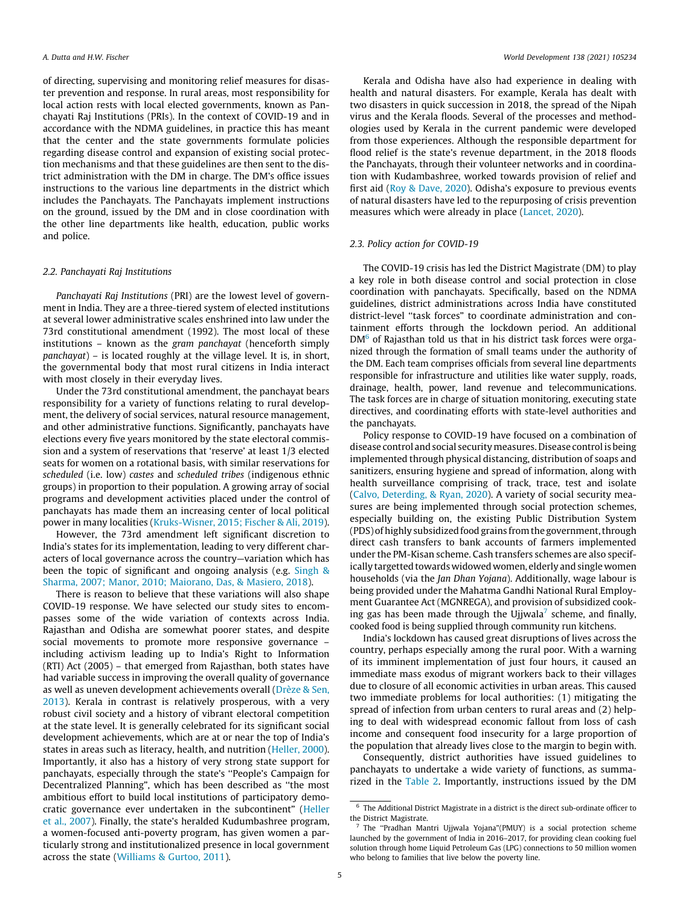<span id="page-4-0"></span>of directing, supervising and monitoring relief measures for disaster prevention and response. In rural areas, most responsibility for local action rests with local elected governments, known as Panchayati Raj Institutions (PRIs). In the context of COVID-19 and in accordance with the NDMA guidelines, in practice this has meant that the center and the state governments formulate policies regarding disease control and expansion of existing social protection mechanisms and that these guidelines are then sent to the district administration with the DM in charge. The DM's office issues instructions to the various line departments in the district which includes the Panchayats. The Panchayats implement instructions on the ground, issued by the DM and in close coordination with the other line departments like health, education, public works and police.

### 2.2. Panchayati Raj Institutions

Panchayati Raj Institutions (PRI) are the lowest level of government in India. They are a three-tiered system of elected institutions at several lower administrative scales enshrined into law under the 73rd constitutional amendment (1992). The most local of these institutions – known as the gram panchayat (henceforth simply panchayat) – is located roughly at the village level. It is, in short, the governmental body that most rural citizens in India interact with most closely in their everyday lives.

Under the 73rd constitutional amendment, the panchayat bears responsibility for a variety of functions relating to rural development, the delivery of social services, natural resource management, and other administrative functions. Significantly, panchayats have elections every five years monitored by the state electoral commission and a system of reservations that 'reserve' at least 1/3 elected seats for women on a rotational basis, with similar reservations for scheduled (i.e. low) castes and scheduled tribes (indigenous ethnic groups) in proportion to their population. A growing array of social programs and development activities placed under the control of panchayats has made them an increasing center of local political power in many localities ([Kruks-Wisner, 2015; Fischer & Ali, 2019\)](#page-10-0).

However, the 73rd amendment left significant discretion to India's states for its implementation, leading to very different characters of local governance across the country—variation which has been the topic of significant and ongoing analysis (e.g. [Singh &](#page-10-0) [Sharma, 2007; Manor, 2010; Maiorano, Das, & Masiero, 2018\)](#page-10-0).

There is reason to believe that these variations will also shape COVID-19 response. We have selected our study sites to encompasses some of the wide variation of contexts across India. Rajasthan and Odisha are somewhat poorer states, and despite social movements to promote more responsive governance – including activism leading up to India's Right to Information (RTI) Act (2005) – that emerged from Rajasthan, both states have had variable success in improving the overall quality of governance as well as uneven development achievements overall ([Drèze & Sen,](#page-9-0) [2013\)](#page-9-0). Kerala in contrast is relatively prosperous, with a very robust civil society and a history of vibrant electoral competition at the state level. It is generally celebrated for its significant social development achievements, which are at or near the top of India's states in areas such as literacy, health, and nutrition ([Heller, 2000\)](#page-10-0). Importantly, it also has a history of very strong state support for panchayats, especially through the state's ''People's Campaign for Decentralized Planning", which has been described as ''the most ambitious effort to build local institutions of participatory democratic governance ever undertaken in the subcontinent" ([Heller](#page-10-0) [et al., 2007\)](#page-10-0). Finally, the state's heralded Kudumbashree program, a women-focused anti-poverty program, has given women a particularly strong and institutionalized presence in local government across the state ([Williams & Gurtoo, 2011](#page-10-0)).

Kerala and Odisha have also had experience in dealing with health and natural disasters. For example, Kerala has dealt with two disasters in quick succession in 2018, the spread of the Nipah virus and the Kerala floods. Several of the processes and methodologies used by Kerala in the current pandemic were developed from those experiences. Although the responsible department for flood relief is the state's revenue department, in the 2018 floods the Panchayats, through their volunteer networks and in coordination with Kudambashree, worked towards provision of relief and first aid ([Roy & Dave, 2020\)](#page-10-0). Odisha's exposure to previous events of natural disasters have led to the repurposing of crisis prevention measures which were already in place ([Lancet, 2020](#page-10-0)).

### 2.3. Policy action for COVID-19

The COVID-19 crisis has led the District Magistrate (DM) to play a key role in both disease control and social protection in close coordination with panchayats. Specifically, based on the NDMA guidelines, district administrations across India have constituted district-level ''task forces" to coordinate administration and containment efforts through the lockdown period. An additional DM<sup>6</sup> of Rajasthan told us that in his district task forces were organized through the formation of small teams under the authority of the DM. Each team comprises officials from several line departments responsible for infrastructure and utilities like water supply, roads, drainage, health, power, land revenue and telecommunications. The task forces are in charge of situation monitoring, executing state directives, and coordinating efforts with state-level authorities and the panchayats.

Policy response to COVID-19 have focused on a combination of disease control and social securitymeasures. Disease control is being implemented through physical distancing, distribution of soaps and sanitizers, ensuring hygiene and spread of information, along with health surveillance comprising of track, trace, test and isolate ([Calvo, Deterding, & Ryan, 2020](#page-9-0)). A variety of social security measures are being implemented through social protection schemes, especially building on, the existing Public Distribution System (PDS) of highly subsidized food grains from the government, through direct cash transfers to bank accounts of farmers implemented under the PM-Kisan scheme. Cash transfers schemes are also specifically targetted towards widowed women, elderly and single women households (via the Jan Dhan Yojana). Additionally, wage labour is being provided under the Mahatma Gandhi National Rural Employment Guarantee Act (MGNREGA), and provision of subsidized cooking gas has been made through the Ujjwala<sup>7</sup> scheme, and finally, cooked food is being supplied through community run kitchens.

India's lockdown has caused great disruptions of lives across the country, perhaps especially among the rural poor. With a warning of its imminent implementation of just four hours, it caused an immediate mass exodus of migrant workers back to their villages due to closure of all economic activities in urban areas. This caused two immediate problems for local authorities: (1) mitigating the spread of infection from urban centers to rural areas and (2) helping to deal with widespread economic fallout from loss of cash income and consequent food insecurity for a large proportion of the population that already lives close to the margin to begin with.

Consequently, district authorities have issued guidelines to panchayats to undertake a wide variety of functions, as summarized in the [Table 2](#page-5-0). Importantly, instructions issued by the DM

 $^{\rm 6}$  The Additional District Magistrate in a district is the direct sub-ordinate officer to the District Magistrate.

<sup>7</sup> The ''Pradhan Mantri Ujjwala Yojana"(PMUY) is a social protection scheme launched by the government of India in 2016–2017, for providing clean cooking fuel solution through home Liquid Petroleum Gas (LPG) connections to 50 million women who belong to families that live below the poverty line.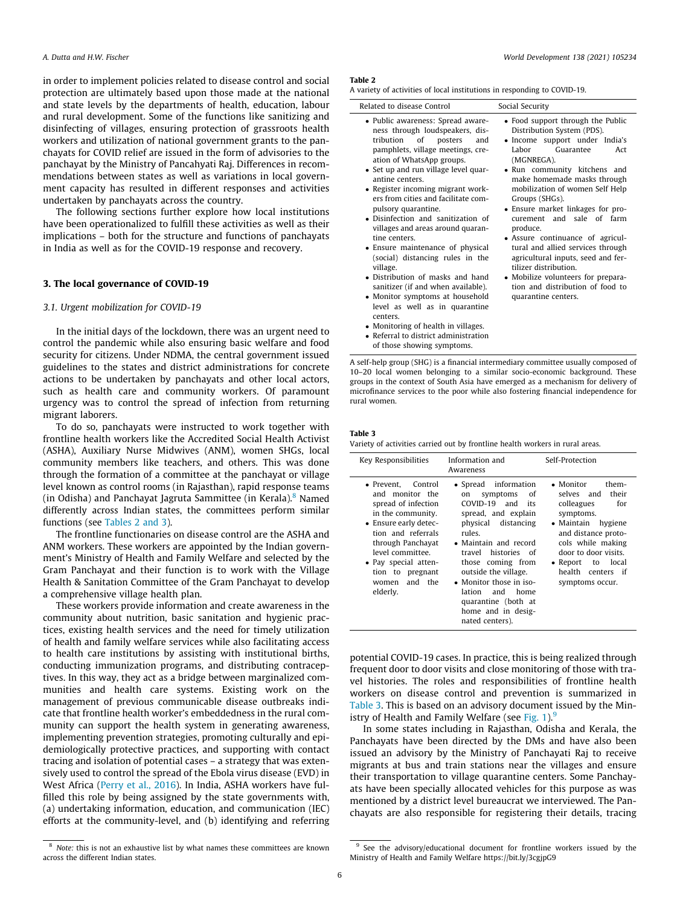<span id="page-5-0"></span>in order to implement policies related to disease control and social protection are ultimately based upon those made at the national and state levels by the departments of health, education, labour and rural development. Some of the functions like sanitizing and disinfecting of villages, ensuring protection of grassroots health workers and utilization of national government grants to the panchayats for COVID relief are issued in the form of advisories to the panchayat by the Ministry of Pancahyati Raj. Differences in recommendations between states as well as variations in local government capacity has resulted in different responses and activities undertaken by panchayats across the country.

The following sections further explore how local institutions have been operationalized to fulfill these activities as well as their implications – both for the structure and functions of panchayats in India as well as for the COVID-19 response and recovery.

### 3. The local governance of COVID-19

### 3.1. Urgent mobilization for COVID-19

In the initial days of the lockdown, there was an urgent need to control the pandemic while also ensuring basic welfare and food security for citizens. Under NDMA, the central government issued guidelines to the states and district administrations for concrete actions to be undertaken by panchayats and other local actors, such as health care and community workers. Of paramount urgency was to control the spread of infection from returning migrant laborers.

To do so, panchayats were instructed to work together with frontline health workers like the Accredited Social Health Activist (ASHA), Auxiliary Nurse Midwives (ANM), women SHGs, local community members like teachers, and others. This was done through the formation of a committee at the panchayat or village level known as control rooms (in Rajasthan), rapid response teams (in Odisha) and Panchayat Jagruta Sammittee (in Kerala).<sup>8</sup> Named differently across Indian states, the committees perform similar functions (see Tables 2 and 3).

The frontline functionaries on disease control are the ASHA and ANM workers. These workers are appointed by the Indian government's Ministry of Health and Family Welfare and selected by the Gram Panchayat and their function is to work with the Village Health & Sanitation Committee of the Gram Panchayat to develop a comprehensive village health plan.

These workers provide information and create awareness in the community about nutrition, basic sanitation and hygienic practices, existing health services and the need for timely utilization of health and family welfare services while also facilitating access to health care institutions by assisting with institutional births, conducting immunization programs, and distributing contraceptives. In this way, they act as a bridge between marginalized communities and health care systems. Existing work on the management of previous communicable disease outbreaks indicate that frontline health worker's embeddedness in the rural community can support the health system in generating awareness, implementing prevention strategies, promoting culturally and epidemiologically protective practices, and supporting with contact tracing and isolation of potential cases – a strategy that was extensively used to control the spread of the Ebola virus disease (EVD) in West Africa [\(Perry et al., 2016](#page-10-0)). In India, ASHA workers have fulfilled this role by being assigned by the state governments with, (a) undertaking information, education, and communication (IEC) efforts at the community-level, and (b) identifying and referring

### <sup>8</sup> Note: this is not an exhaustive list by what names these committees are known across the different Indian states.

 Mobilize volunteers for preparation and distribution of food to

quarantine centers.

#### Table 2

A variety of activities of local institutions in responding to COVID-19.

| Related to disease Control                                                                                                                                                                                                                                                                                                                                                                                                                                                                                 | Social Security                                                                                                                                                                                                                                                                                                                                                                                                                                               |
|------------------------------------------------------------------------------------------------------------------------------------------------------------------------------------------------------------------------------------------------------------------------------------------------------------------------------------------------------------------------------------------------------------------------------------------------------------------------------------------------------------|---------------------------------------------------------------------------------------------------------------------------------------------------------------------------------------------------------------------------------------------------------------------------------------------------------------------------------------------------------------------------------------------------------------------------------------------------------------|
| • Public awareness: Spread aware-<br>ness through loudspeakers, dis-<br>tribution of<br>posters<br>and<br>pamphlets, village meetings, cre-<br>ation of WhatsApp groups.<br>• Set up and run village level quar-<br>antine centers.<br>• Register incoming migrant work-<br>ers from cities and facilitate com-<br>pulsory quarantine.<br>• Disinfection and sanitization of<br>villages and areas around quaran-<br>tine centers.<br>• Ensure maintenance of physical<br>(social) distancing rules in the | • Food support through the Public<br>Distribution System (PDS).<br>• Income support under India's<br>Guarantee<br>Labor<br>Act<br>(MGNREGA).<br>• Run community kitchens and<br>make homemade masks through<br>mobilization of women Self Help<br>Groups (SHGs).<br>• Ensure market linkages for pro-<br>curement and sale of farm<br>produce.<br>• Assure continuance of agricul-<br>tural and allied services through<br>agricultural inputs, seed and fer- |
| village                                                                                                                                                                                                                                                                                                                                                                                                                                                                                                    | tilizer distribution                                                                                                                                                                                                                                                                                                                                                                                                                                          |

- village. Distribution of masks and hand
- sanitizer (if and when available). Monitor symptoms at household
- level as well as in quarantine centers.
- Monitoring of health in villages.

• Referral to district administration of those showing symptoms. A self-help group (SHG) is a financial intermediary committee usually composed of 10–20 local women belonging to a similar socio-economic background. These groups in the context of South Asia have emerged as a mechanism for delivery of

microfinance services to the poor while also fostering financial independence for

#### Table 3

rural women.

Variety of activities carried out by frontline health workers in rural areas.

| Key Responsibilities                                                                                                                                                                                                                                             | Information and<br>Awareness                                                                                                                                                                                                                                                                                                                    | Self-Protection                                                                                                                                                                                                                                             |
|------------------------------------------------------------------------------------------------------------------------------------------------------------------------------------------------------------------------------------------------------------------|-------------------------------------------------------------------------------------------------------------------------------------------------------------------------------------------------------------------------------------------------------------------------------------------------------------------------------------------------|-------------------------------------------------------------------------------------------------------------------------------------------------------------------------------------------------------------------------------------------------------------|
| $\bullet$ Prevent.<br>Control<br>and monitor the<br>spread of infection<br>in the community.<br>• Ensure early detec-<br>tion and referrals<br>through Panchayat<br>level committee.<br>• Pay special atten-<br>tion to pregnant<br>and the<br>women<br>elderly. | • Spread information<br>symptoms<br>of<br>on<br>COVID-19 and<br>its<br>spread, and explain<br>physical distancing<br>rules.<br>• Maintain and record<br>histories of<br>travel<br>those coming from<br>outside the village.<br>• Monitor those in iso-<br>and<br>lation<br>home<br>quarantine (both at<br>home and in desig-<br>nated centers). | • Monitor<br>them-<br>their<br>selves and<br>for<br>colleagues<br>symptoms.<br>$\bullet$ Maintain<br>hygiene<br>and distance proto-<br>cols while making<br>door to door visits.<br>local<br>$\bullet$ Report<br>to<br>health centers if<br>symptoms occur. |

potential COVID-19 cases. In practice, this is being realized through frequent door to door visits and close monitoring of those with travel histories. The roles and responsibilities of frontline health workers on disease control and prevention is summarized in Table 3. This is based on an advisory document issued by the Min-istry of Health and Family Welfare (see [Fig. 1\)](#page-6-0). $9$ 

In some states including in Rajasthan, Odisha and Kerala, the Panchayats have been directed by the DMs and have also been issued an advisory by the Ministry of Panchayati Raj to receive migrants at bus and train stations near the villages and ensure their transportation to village quarantine centers. Some Panchayats have been specially allocated vehicles for this purpose as was mentioned by a district level bureaucrat we interviewed. The Panchayats are also responsible for registering their details, tracing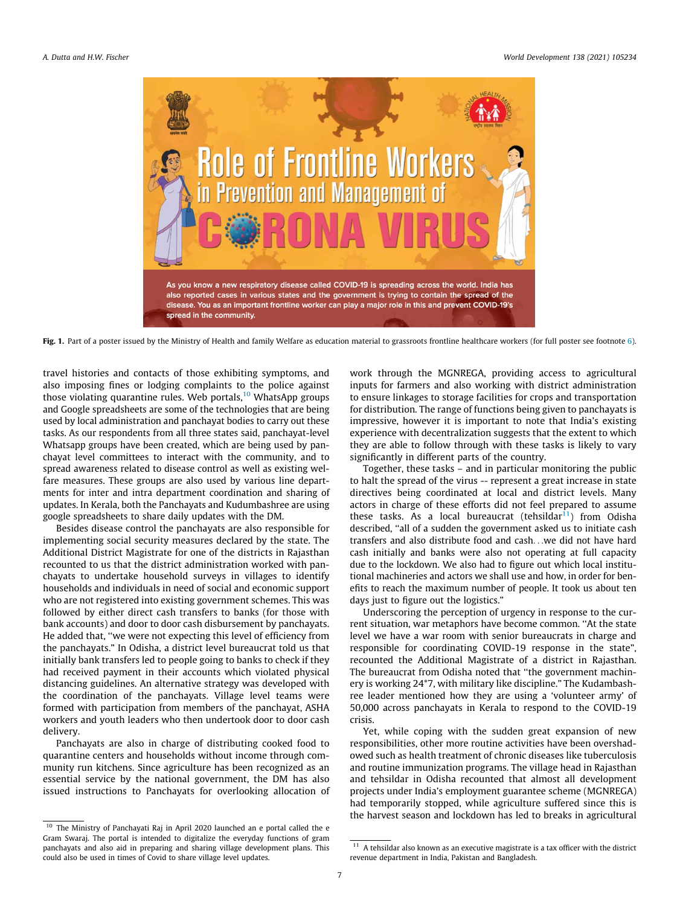<span id="page-6-0"></span>

Fig. 1. Part of a poster issued by the Ministry of Health and family Welfare as education material to grassroots frontline healthcare workers (for full poster see footnote [6\)](#page-4-0).

travel histories and contacts of those exhibiting symptoms, and also imposing fines or lodging complaints to the police against those violating quarantine rules. Web portals, $10$  WhatsApp groups and Google spreadsheets are some of the technologies that are being used by local administration and panchayat bodies to carry out these tasks. As our respondents from all three states said, panchayat-level Whatsapp groups have been created, which are being used by panchayat level committees to interact with the community, and to spread awareness related to disease control as well as existing welfare measures. These groups are also used by various line departments for inter and intra department coordination and sharing of updates. In Kerala, both the Panchayats and Kudumbashree are using google spreadsheets to share daily updates with the DM.

Besides disease control the panchayats are also responsible for implementing social security measures declared by the state. The Additional District Magistrate for one of the districts in Rajasthan recounted to us that the district administration worked with panchayats to undertake household surveys in villages to identify households and individuals in need of social and economic support who are not registered into existing government schemes. This was followed by either direct cash transfers to banks (for those with bank accounts) and door to door cash disbursement by panchayats. He added that, ''we were not expecting this level of efficiency from the panchayats." In Odisha, a district level bureaucrat told us that initially bank transfers led to people going to banks to check if they had received payment in their accounts which violated physical distancing guidelines. An alternative strategy was developed with the coordination of the panchayats. Village level teams were formed with participation from members of the panchayat, ASHA workers and youth leaders who then undertook door to door cash delivery.

Panchayats are also in charge of distributing cooked food to quarantine centers and households without income through community run kitchens. Since agriculture has been recognized as an essential service by the national government, the DM has also issued instructions to Panchayats for overlooking allocation of

<sup>10</sup> The Ministry of Panchayati Raj in April 2020 launched an e portal called the e Gram Swaraj. The portal is intended to digitalize the everyday functions of gram panchayats and also aid in preparing and sharing village development plans. This could also be used in times of Covid to share village level updates.

work through the MGNREGA, providing access to agricultural inputs for farmers and also working with district administration to ensure linkages to storage facilities for crops and transportation for distribution. The range of functions being given to panchayats is impressive, however it is important to note that India's existing experience with decentralization suggests that the extent to which they are able to follow through with these tasks is likely to vary significantly in different parts of the country.

Together, these tasks – and in particular monitoring the public to halt the spread of the virus -- represent a great increase in state directives being coordinated at local and district levels. Many actors in charge of these efforts did not feel prepared to assume these tasks. As a local bureaucrat (tehsildar $11$ ) from Odisha described, ''all of a sudden the government asked us to initiate cash transfers and also distribute food and cash...we did not have hard cash initially and banks were also not operating at full capacity due to the lockdown. We also had to figure out which local institutional machineries and actors we shall use and how, in order for benefits to reach the maximum number of people. It took us about ten days just to figure out the logistics."

Underscoring the perception of urgency in response to the current situation, war metaphors have become common. ''At the state level we have a war room with senior bureaucrats in charge and responsible for coordinating COVID-19 response in the state", recounted the Additional Magistrate of a district in Rajasthan. The bureaucrat from Odisha noted that ''the government machinery is working 24\*7, with military like discipline." The Kudambashree leader mentioned how they are using a 'volunteer army' of 50,000 across panchayats in Kerala to respond to the COVID-19 crisis.

Yet, while coping with the sudden great expansion of new responsibilities, other more routine activities have been overshadowed such as health treatment of chronic diseases like tuberculosis and routine immunization programs. The village head in Rajasthan and tehsildar in Odisha recounted that almost all development projects under India's employment guarantee scheme (MGNREGA) had temporarily stopped, while agriculture suffered since this is the harvest season and lockdown has led to breaks in agricultural

 $^{11}\,$  A tehsildar also known as an executive magistrate is a tax officer with the district revenue department in India, Pakistan and Bangladesh.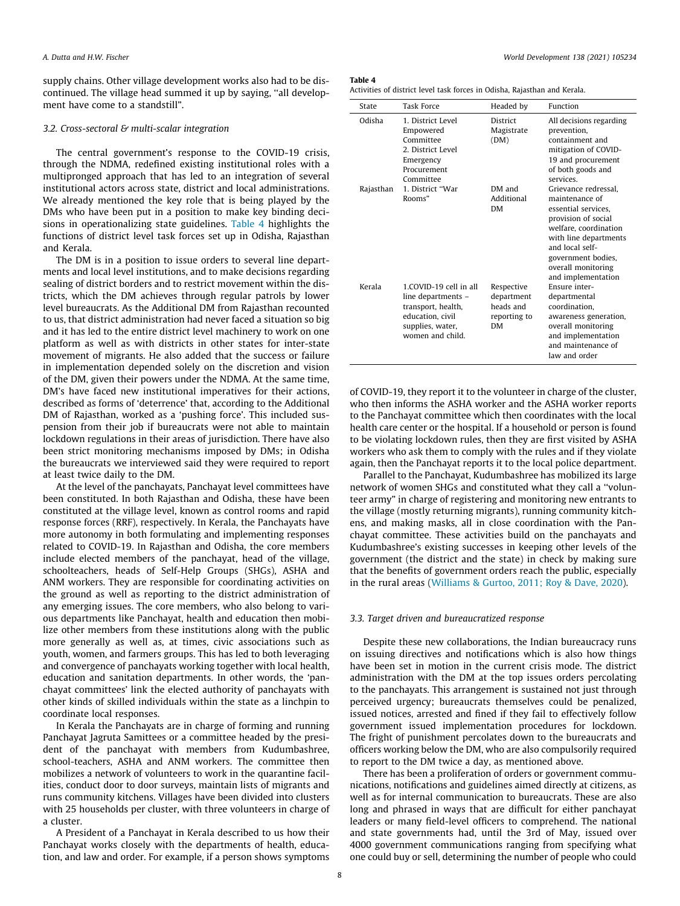supply chains. Other village development works also had to be discontinued. The village head summed it up by saying, ''all development have come to a standstill".

### 3.2. Cross-sectoral & multi-scalar integration

The central government's response to the COVID-19 crisis, through the NDMA, redefined existing institutional roles with a multipronged approach that has led to an integration of several institutional actors across state, district and local administrations. We already mentioned the key role that is being played by the DMs who have been put in a position to make key binding decisions in operationalizing state guidelines. Table 4 highlights the functions of district level task forces set up in Odisha, Rajasthan and Kerala.

The DM is in a position to issue orders to several line departments and local level institutions, and to make decisions regarding sealing of district borders and to restrict movement within the districts, which the DM achieves through regular patrols by lower level bureaucrats. As the Additional DM from Rajasthan recounted to us, that district administration had never faced a situation so big and it has led to the entire district level machinery to work on one platform as well as with districts in other states for inter-state movement of migrants. He also added that the success or failure in implementation depended solely on the discretion and vision of the DM, given their powers under the NDMA. At the same time, DM's have faced new institutional imperatives for their actions, described as forms of 'deterrence' that, according to the Additional DM of Rajasthan, worked as a 'pushing force'. This included suspension from their job if bureaucrats were not able to maintain lockdown regulations in their areas of jurisdiction. There have also been strict monitoring mechanisms imposed by DMs; in Odisha the bureaucrats we interviewed said they were required to report at least twice daily to the DM.

At the level of the panchayats, Panchayat level committees have been constituted. In both Rajasthan and Odisha, these have been constituted at the village level, known as control rooms and rapid response forces (RRF), respectively. In Kerala, the Panchayats have more autonomy in both formulating and implementing responses related to COVID-19. In Rajasthan and Odisha, the core members include elected members of the panchayat, head of the village, schoolteachers, heads of Self-Help Groups (SHGs), ASHA and ANM workers. They are responsible for coordinating activities on the ground as well as reporting to the district administration of any emerging issues. The core members, who also belong to various departments like Panchayat, health and education then mobilize other members from these institutions along with the public more generally as well as, at times, civic associations such as youth, women, and farmers groups. This has led to both leveraging and convergence of panchayats working together with local health, education and sanitation departments. In other words, the 'panchayat committees' link the elected authority of panchayats with other kinds of skilled individuals within the state as a linchpin to coordinate local responses.

In Kerala the Panchayats are in charge of forming and running Panchayat Jagruta Samittees or a committee headed by the president of the panchayat with members from Kudumbashree, school-teachers, ASHA and ANM workers. The committee then mobilizes a network of volunteers to work in the quarantine facilities, conduct door to door surveys, maintain lists of migrants and runs community kitchens. Villages have been divided into clusters with 25 households per cluster, with three volunteers in charge of a cluster.

A President of a Panchayat in Kerala described to us how their Panchayat works closely with the departments of health, education, and law and order. For example, if a person shows symptoms

## Table 4

|  | Activities of district level task forces in Odisha, Rajasthan and Kerala. |
|--|---------------------------------------------------------------------------|
|--|---------------------------------------------------------------------------|

| State     | <b>Task Force</b>                                                                                                              | Headed by                                                          | Function                                                                                                                                                                                                                    |
|-----------|--------------------------------------------------------------------------------------------------------------------------------|--------------------------------------------------------------------|-----------------------------------------------------------------------------------------------------------------------------------------------------------------------------------------------------------------------------|
| Odisha    | 1 District Level<br>Empowered<br>Committee<br>2. District Level<br>Emergency<br>Procurement<br>Committee                       | District<br>Magistrate<br>(DM)                                     | All decisions regarding<br>prevention,<br>containment and<br>mitigation of COVID-<br>19 and procurement<br>of both goods and<br>services                                                                                    |
| Rajasthan | 1. District "War<br>Rooms"                                                                                                     | DM and<br>Additional<br><b>DM</b>                                  | Grievance redressal.<br>maintenance of<br>essential services.<br>provision of social<br>welfare, coordination<br>with line departments<br>and local self-<br>government bodies,<br>overall monitoring<br>and implementation |
| Kerala    | 1.COVID-19 cell in all<br>line departments -<br>transport, health,<br>education, civil<br>supplies, water,<br>women and child. | Respective<br>department<br>heads and<br>reporting to<br><b>DM</b> | Ensure inter-<br>departmental<br>coordination.<br>awareness generation,<br>overall monitoring<br>and implementation<br>and maintenance of<br>law and order                                                                  |

of COVID-19, they report it to the volunteer in charge of the cluster, who then informs the ASHA worker and the ASHA worker reports to the Panchayat committee which then coordinates with the local health care center or the hospital. If a household or person is found to be violating lockdown rules, then they are first visited by ASHA workers who ask them to comply with the rules and if they violate again, then the Panchayat reports it to the local police department.

Parallel to the Panchayat, Kudumbashree has mobilized its large network of women SHGs and constituted what they call a ''volunteer army" in charge of registering and monitoring new entrants to the village (mostly returning migrants), running community kitchens, and making masks, all in close coordination with the Panchayat committee. These activities build on the panchayats and Kudumbashree's existing successes in keeping other levels of the government (the district and the state) in check by making sure that the benefits of government orders reach the public, especially in the rural areas ([Williams & Gurtoo, 2011; Roy & Dave, 2020](#page-10-0)).

### 3.3. Target driven and bureaucratized response

Despite these new collaborations, the Indian bureaucracy runs on issuing directives and notifications which is also how things have been set in motion in the current crisis mode. The district administration with the DM at the top issues orders percolating to the panchayats. This arrangement is sustained not just through perceived urgency; bureaucrats themselves could be penalized, issued notices, arrested and fined if they fail to effectively follow government issued implementation procedures for lockdown. The fright of punishment percolates down to the bureaucrats and officers working below the DM, who are also compulsorily required to report to the DM twice a day, as mentioned above.

There has been a proliferation of orders or government communications, notifications and guidelines aimed directly at citizens, as well as for internal communication to bureaucrats. These are also long and phrased in ways that are difficult for either panchayat leaders or many field-level officers to comprehend. The national and state governments had, until the 3rd of May, issued over 4000 government communications ranging from specifying what one could buy or sell, determining the number of people who could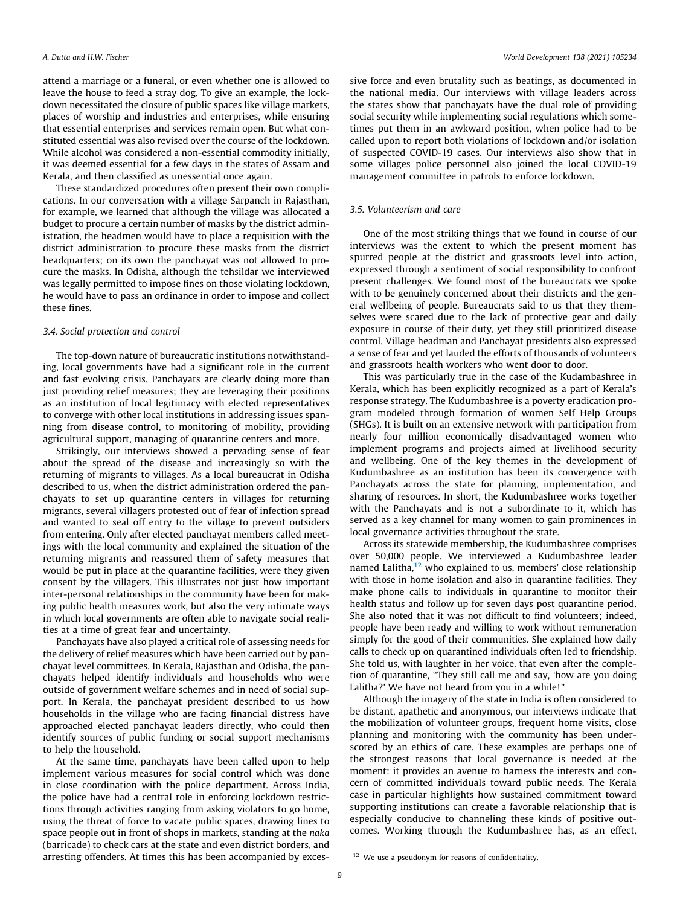attend a marriage or a funeral, or even whether one is allowed to leave the house to feed a stray dog. To give an example, the lockdown necessitated the closure of public spaces like village markets, places of worship and industries and enterprises, while ensuring that essential enterprises and services remain open. But what constituted essential was also revised over the course of the lockdown. While alcohol was considered a non-essential commodity initially, it was deemed essential for a few days in the states of Assam and Kerala, and then classified as unessential once again.

These standardized procedures often present their own complications. In our conversation with a village Sarpanch in Rajasthan, for example, we learned that although the village was allocated a budget to procure a certain number of masks by the district administration, the headmen would have to place a requisition with the district administration to procure these masks from the district headquarters; on its own the panchayat was not allowed to procure the masks. In Odisha, although the tehsildar we interviewed was legally permitted to impose fines on those violating lockdown, he would have to pass an ordinance in order to impose and collect these fines.

### 3.4. Social protection and control

The top-down nature of bureaucratic institutions notwithstanding, local governments have had a significant role in the current and fast evolving crisis. Panchayats are clearly doing more than just providing relief measures; they are leveraging their positions as an institution of local legitimacy with elected representatives to converge with other local institutions in addressing issues spanning from disease control, to monitoring of mobility, providing agricultural support, managing of quarantine centers and more.

Strikingly, our interviews showed a pervading sense of fear about the spread of the disease and increasingly so with the returning of migrants to villages. As a local bureaucrat in Odisha described to us, when the district administration ordered the panchayats to set up quarantine centers in villages for returning migrants, several villagers protested out of fear of infection spread and wanted to seal off entry to the village to prevent outsiders from entering. Only after elected panchayat members called meetings with the local community and explained the situation of the returning migrants and reassured them of safety measures that would be put in place at the quarantine facilities, were they given consent by the villagers. This illustrates not just how important inter-personal relationships in the community have been for making public health measures work, but also the very intimate ways in which local governments are often able to navigate social realities at a time of great fear and uncertainty.

Panchayats have also played a critical role of assessing needs for the delivery of relief measures which have been carried out by panchayat level committees. In Kerala, Rajasthan and Odisha, the panchayats helped identify individuals and households who were outside of government welfare schemes and in need of social support. In Kerala, the panchayat president described to us how households in the village who are facing financial distress have approached elected panchayat leaders directly, who could then identify sources of public funding or social support mechanisms to help the household.

At the same time, panchayats have been called upon to help implement various measures for social control which was done in close coordination with the police department. Across India, the police have had a central role in enforcing lockdown restrictions through activities ranging from asking violators to go home, using the threat of force to vacate public spaces, drawing lines to space people out in front of shops in markets, standing at the naka (barricade) to check cars at the state and even district borders, and arresting offenders. At times this has been accompanied by excessive force and even brutality such as beatings, as documented in the national media. Our interviews with village leaders across the states show that panchayats have the dual role of providing social security while implementing social regulations which sometimes put them in an awkward position, when police had to be called upon to report both violations of lockdown and/or isolation of suspected COVID-19 cases. Our interviews also show that in some villages police personnel also joined the local COVID-19 management committee in patrols to enforce lockdown.

### 3.5. Volunteerism and care

One of the most striking things that we found in course of our interviews was the extent to which the present moment has spurred people at the district and grassroots level into action, expressed through a sentiment of social responsibility to confront present challenges. We found most of the bureaucrats we spoke with to be genuinely concerned about their districts and the general wellbeing of people. Bureaucrats said to us that they themselves were scared due to the lack of protective gear and daily exposure in course of their duty, yet they still prioritized disease control. Village headman and Panchayat presidents also expressed a sense of fear and yet lauded the efforts of thousands of volunteers and grassroots health workers who went door to door.

This was particularly true in the case of the Kudambashree in Kerala, which has been explicitly recognized as a part of Kerala's response strategy. The Kudumbashree is a poverty eradication program modeled through formation of women Self Help Groups (SHGs). It is built on an extensive network with participation from nearly four million economically disadvantaged women who implement programs and projects aimed at livelihood security and wellbeing. One of the key themes in the development of Kudumbashree as an institution has been its convergence with Panchayats across the state for planning, implementation, and sharing of resources. In short, the Kudumbashree works together with the Panchayats and is not a subordinate to it, which has served as a key channel for many women to gain prominences in local governance activities throughout the state.

Across its statewide membership, the Kudumbashree comprises over 50,000 people. We interviewed a Kudumbashree leader named Lalitha, $12$  who explained to us, members' close relationship with those in home isolation and also in quarantine facilities. They make phone calls to individuals in quarantine to monitor their health status and follow up for seven days post quarantine period. She also noted that it was not difficult to find volunteers; indeed, people have been ready and willing to work without remuneration simply for the good of their communities. She explained how daily calls to check up on quarantined individuals often led to friendship. She told us, with laughter in her voice, that even after the completion of quarantine, ''They still call me and say, 'how are you doing Lalitha?' We have not heard from you in a while!"

Although the imagery of the state in India is often considered to be distant, apathetic and anonymous, our interviews indicate that the mobilization of volunteer groups, frequent home visits, close planning and monitoring with the community has been underscored by an ethics of care. These examples are perhaps one of the strongest reasons that local governance is needed at the moment: it provides an avenue to harness the interests and concern of committed individuals toward public needs. The Kerala case in particular highlights how sustained commitment toward supporting institutions can create a favorable relationship that is especially conducive to channeling these kinds of positive outcomes. Working through the Kudumbashree has, as an effect,

<sup>&</sup>lt;sup>12</sup> We use a pseudonym for reasons of confidentiality.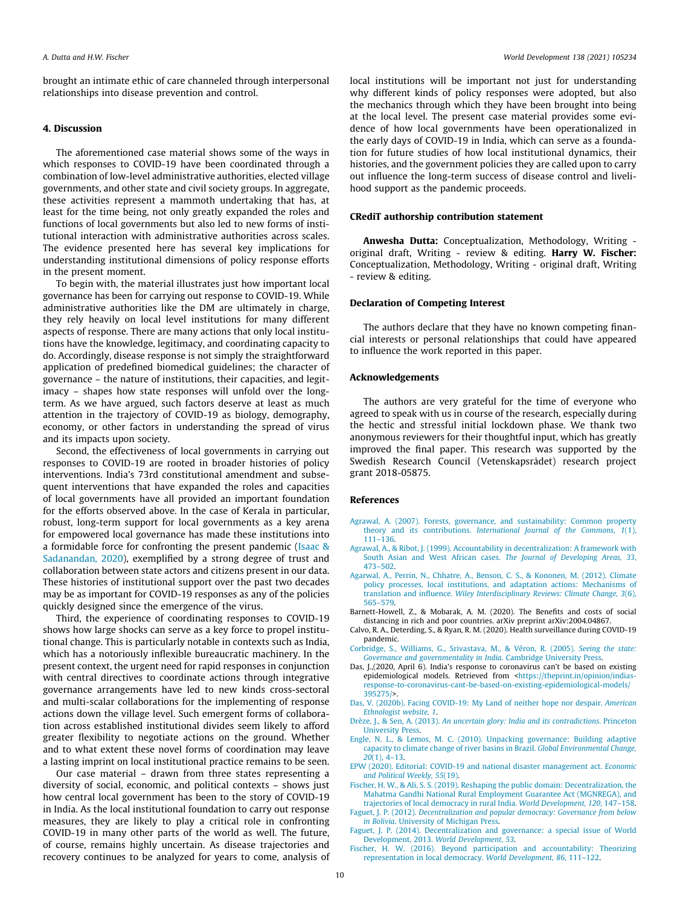<span id="page-9-0"></span>brought an intimate ethic of care channeled through interpersonal relationships into disease prevention and control.

### 4. Discussion

The aforementioned case material shows some of the ways in which responses to COVID-19 have been coordinated through a combination of low-level administrative authorities, elected village governments, and other state and civil society groups. In aggregate, these activities represent a mammoth undertaking that has, at least for the time being, not only greatly expanded the roles and functions of local governments but also led to new forms of institutional interaction with administrative authorities across scales. The evidence presented here has several key implications for understanding institutional dimensions of policy response efforts in the present moment.

To begin with, the material illustrates just how important local governance has been for carrying out response to COVID-19. While administrative authorities like the DM are ultimately in charge, they rely heavily on local level institutions for many different aspects of response. There are many actions that only local institutions have the knowledge, legitimacy, and coordinating capacity to do. Accordingly, disease response is not simply the straightforward application of predefined biomedical guidelines; the character of governance – the nature of institutions, their capacities, and legitimacy – shapes how state responses will unfold over the longterm. As we have argued, such factors deserve at least as much attention in the trajectory of COVID-19 as biology, demography, economy, or other factors in understanding the spread of virus and its impacts upon society.

Second, the effectiveness of local governments in carrying out responses to COVID-19 are rooted in broader histories of policy interventions. India's 73rd constitutional amendment and subsequent interventions that have expanded the roles and capacities of local governments have all provided an important foundation for the efforts observed above. In the case of Kerala in particular, robust, long-term support for local governments as a key arena for empowered local governance has made these institutions into a formidable force for confronting the present pandemic [\(Isaac &](#page-10-0) [Sadanandan, 2020\)](#page-10-0), exemplified by a strong degree of trust and collaboration between state actors and citizens present in our data. These histories of institutional support over the past two decades may be as important for COVID-19 responses as any of the policies quickly designed since the emergence of the virus.

Third, the experience of coordinating responses to COVID-19 shows how large shocks can serve as a key force to propel institutional change. This is particularly notable in contexts such as India, which has a notoriously inflexible bureaucratic machinery. In the present context, the urgent need for rapid responses in conjunction with central directives to coordinate actions through integrative governance arrangements have led to new kinds cross-sectoral and multi-scalar collaborations for the implementing of response actions down the village level. Such emergent forms of collaboration across established institutional divides seem likely to afford greater flexibility to negotiate actions on the ground. Whether and to what extent these novel forms of coordination may leave a lasting imprint on local institutional practice remains to be seen.

Our case material – drawn from three states representing a diversity of social, economic, and political contexts – shows just how central local government has been to the story of COVID-19 in India. As the local institutional foundation to carry out response measures, they are likely to play a critical role in confronting COVID-19 in many other parts of the world as well. The future, of course, remains highly uncertain. As disease trajectories and recovery continues to be analyzed for years to come, analysis of local institutions will be important not just for understanding why different kinds of policy responses were adopted, but also the mechanics through which they have been brought into being at the local level. The present case material provides some evidence of how local governments have been operationalized in the early days of COVID-19 in India, which can serve as a foundation for future studies of how local institutional dynamics, their histories, and the government policies they are called upon to carry out influence the long-term success of disease control and livelihood support as the pandemic proceeds.

### CRediT authorship contribution statement

Anwesha Dutta: Conceptualization, Methodology, Writing original draft, Writing - review & editing. Harry W. Fischer: Conceptualization, Methodology, Writing - original draft, Writing - review & editing.

## Declaration of Competing Interest

The authors declare that they have no known competing financial interests or personal relationships that could have appeared to influence the work reported in this paper.

### Acknowledgements

The authors are very grateful for the time of everyone who agreed to speak with us in course of the research, especially during the hectic and stressful initial lockdown phase. We thank two anonymous reviewers for their thoughtful input, which has greatly improved the final paper. This research was supported by the Swedish Research Council (Vetenskapsrådet) research project grant 2018-05875.

### References

- [Agrawal, A. \(2007\). Forests, governance, and sustainability: Common property](http://refhub.elsevier.com/S0305-750X(20)30361-2/h0005) theory and its contributions. [International Journal of the Commons, 1](http://refhub.elsevier.com/S0305-750X(20)30361-2/h0005)(1), [111–136](http://refhub.elsevier.com/S0305-750X(20)30361-2/h0005).
- [Agrawal, A., & Ribot, J. \(1999\). Accountability in decentralization: A framework with](http://refhub.elsevier.com/S0305-750X(20)30361-2/h0010) [South Asian and West African cases.](http://refhub.elsevier.com/S0305-750X(20)30361-2/h0010) The Journal of Developing Areas, 33, [473–502](http://refhub.elsevier.com/S0305-750X(20)30361-2/h0010).
- [Agarwal, A., Perrin, N., Chhatre, A., Benson, C. S., & Kononen, M. \(2012\). Climate](http://refhub.elsevier.com/S0305-750X(20)30361-2/h0020) [policy processes, local institutions, and adaptation actions: Mechanisms of](http://refhub.elsevier.com/S0305-750X(20)30361-2/h0020) translation and influence. [Wiley Interdisciplinary Reviews: Climate Change, 3](http://refhub.elsevier.com/S0305-750X(20)30361-2/h0020)(6), [565–579](http://refhub.elsevier.com/S0305-750X(20)30361-2/h0020).
- Barnett-Howell, Z., & Mobarak, A. M. (2020). The Benefits and costs of social distancing in rich and poor countries. arXiv preprint arXiv:2004.04867.
- Calvo, R. A., Deterding, S., & Ryan, R. M. (2020). Health surveillance during COVID-19 pandemic.
- [Corbridge, S., Williams, G., Srivastava, M., & Véron, R. \(2005\).](http://refhub.elsevier.com/S0305-750X(20)30361-2/h0040) Seeing the state: [Governance and governmentality in India](http://refhub.elsevier.com/S0305-750X(20)30361-2/h0040). Cambridge University Press.
- Das, J.,(2020, April 6). India's response to coronavirus can't be based on existing epidemiological models. Retrieved from [<https://theprint.in/opinion/indias](https://theprint.in/opinion/indias-response-to-coronavirus-cant-be-based-on-existing-epidemiological-models/395275/)[response-to-coronavirus-cant-be-based-on-existing-epidemiological-models/](https://theprint.in/opinion/indias-response-to-coronavirus-cant-be-based-on-existing-epidemiological-models/395275/) [395275/>](https://theprint.in/opinion/indias-response-to-coronavirus-cant-be-based-on-existing-epidemiological-models/395275/).
- [Das, V. \(2020b\). Facing COVID-19: My Land of neither hope nor despair.](http://refhub.elsevier.com/S0305-750X(20)30361-2/h0050) American [Ethnologist website, 1](http://refhub.elsevier.com/S0305-750X(20)30361-2/h0050).
- Drèze, J., & Sen, A. (2013). [An uncertain glory: India and its contradictions](http://refhub.elsevier.com/S0305-750X(20)30361-2/h0055). Princeton [University Press](http://refhub.elsevier.com/S0305-750X(20)30361-2/h0055).
- [Engle, N. L., & Lemos, M. C. \(2010\). Unpacking governance: Building adaptive](http://refhub.elsevier.com/S0305-750X(20)30361-2/h0060) [capacity to climate change of river basins in Brazil.](http://refhub.elsevier.com/S0305-750X(20)30361-2/h0060) Global Environmental Change, 20[\(1\), 4–13](http://refhub.elsevier.com/S0305-750X(20)30361-2/h0060).
- [EPW \(2020\). Editorial: COVID-19 and national disaster management act.](http://refhub.elsevier.com/S0305-750X(20)30361-2/h0065) Economic [and Political Weekly, 55](http://refhub.elsevier.com/S0305-750X(20)30361-2/h0065)(19).
- [Fischer, H. W., & Ali, S. S. \(2019\). Reshaping the public domain: Decentralization, the](http://refhub.elsevier.com/S0305-750X(20)30361-2/h0070) [Mahatma Gandhi National Rural Employment Guarantee Act \(MGNREGA\), and](http://refhub.elsevier.com/S0305-750X(20)30361-2/h0070) [trajectories of local democracy in rural India.](http://refhub.elsevier.com/S0305-750X(20)30361-2/h0070) World Development, 120, 147–158.
- Faguet, J. P. (2012). [Decentralization and popular democracy: Governance from below](http://refhub.elsevier.com/S0305-750X(20)30361-2/h0075) in Bolivia[. University of Michigan Press.](http://refhub.elsevier.com/S0305-750X(20)30361-2/h0075)
- [Faguet, J. P. \(2014\). Decentralization and governance: a special issue of World](http://refhub.elsevier.com/S0305-750X(20)30361-2/h0080) Development, 2013. [World Development, 53](http://refhub.elsevier.com/S0305-750X(20)30361-2/h0080).
- [Fischer, H. W. \(2016\). Beyond participation and accountability: Theorizing](http://refhub.elsevier.com/S0305-750X(20)30361-2/h9000) [representation in local democracy.](http://refhub.elsevier.com/S0305-750X(20)30361-2/h9000) World Development, 86, 111–122.